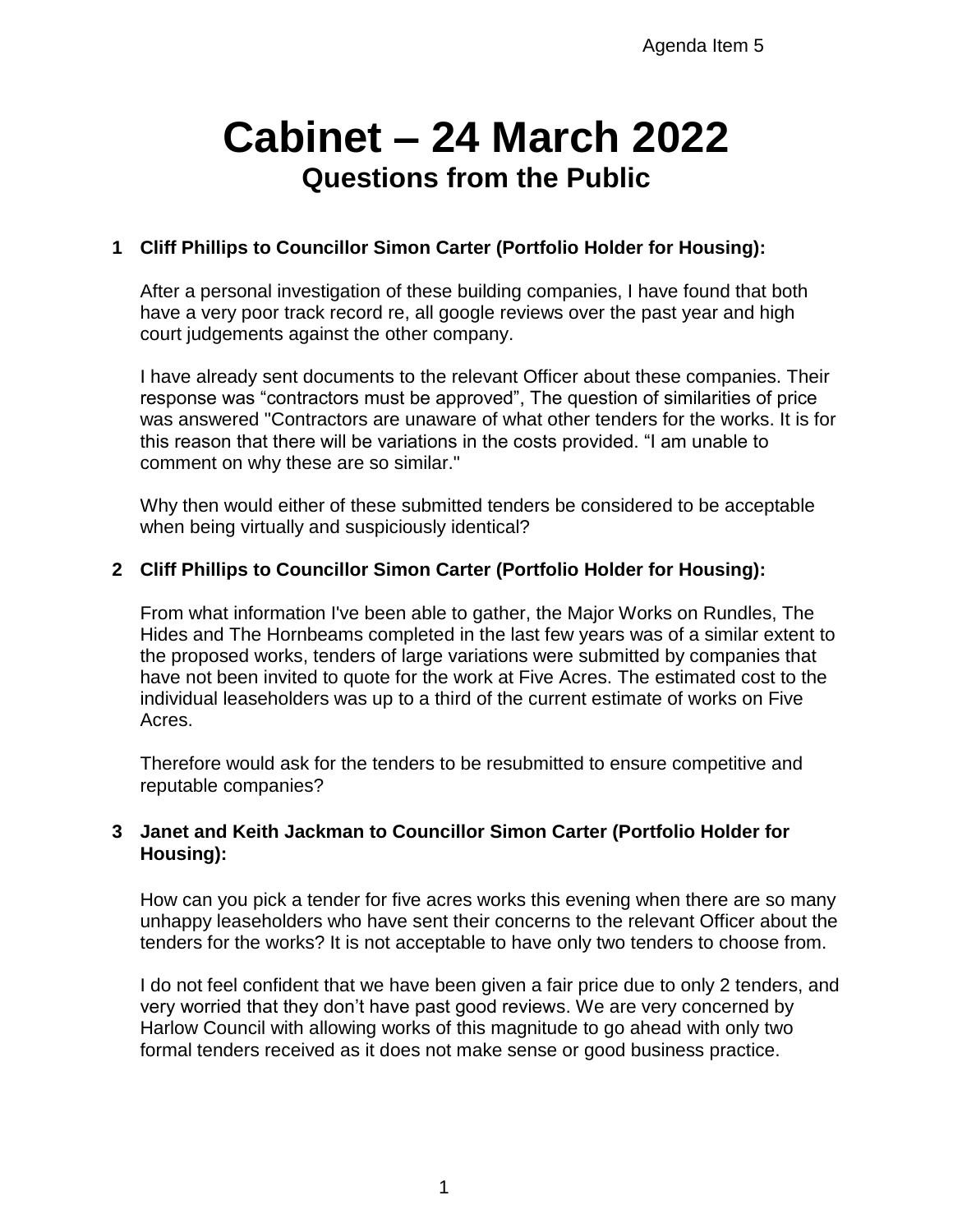# **Cabinet – 24 March 2022 Questions from the Public**

## **1 Cliff Phillips to Councillor Simon Carter (Portfolio Holder for Housing):**

After a personal investigation of these building companies, I have found that both have a very poor track record re, all google reviews over the past year and high court judgements against the other company.

I have already sent documents to the relevant Officer about these companies. Their response was "contractors must be approved", The question of similarities of price was answered "Contractors are unaware of what other tenders for the works. It is for this reason that there will be variations in the costs provided. "I am unable to comment on why these are so similar."

Why then would either of these submitted tenders be considered to be acceptable when being virtually and suspiciously identical?

## **2 Cliff Phillips to Councillor Simon Carter (Portfolio Holder for Housing):**

From what information I've been able to gather, the Major Works on Rundles, The Hides and The Hornbeams completed in the last few years was of a similar extent to the proposed works, tenders of large variations were submitted by companies that have not been invited to quote for the work at Five Acres. The estimated cost to the individual leaseholders was up to a third of the current estimate of works on Five Acres.

Therefore would ask for the tenders to be resubmitted to ensure competitive and reputable companies?

## **3 Janet and Keith Jackman to Councillor Simon Carter (Portfolio Holder for Housing):**

How can you pick a tender for five acres works this evening when there are so many unhappy leaseholders who have sent their concerns to the relevant Officer about the tenders for the works? It is not acceptable to have only two tenders to choose from.

I do not feel confident that we have been given a fair price due to only 2 tenders, and very worried that they don't have past good reviews. We are very concerned by Harlow Council with allowing works of this magnitude to go ahead with only two formal tenders received as it does not make sense or good business practice.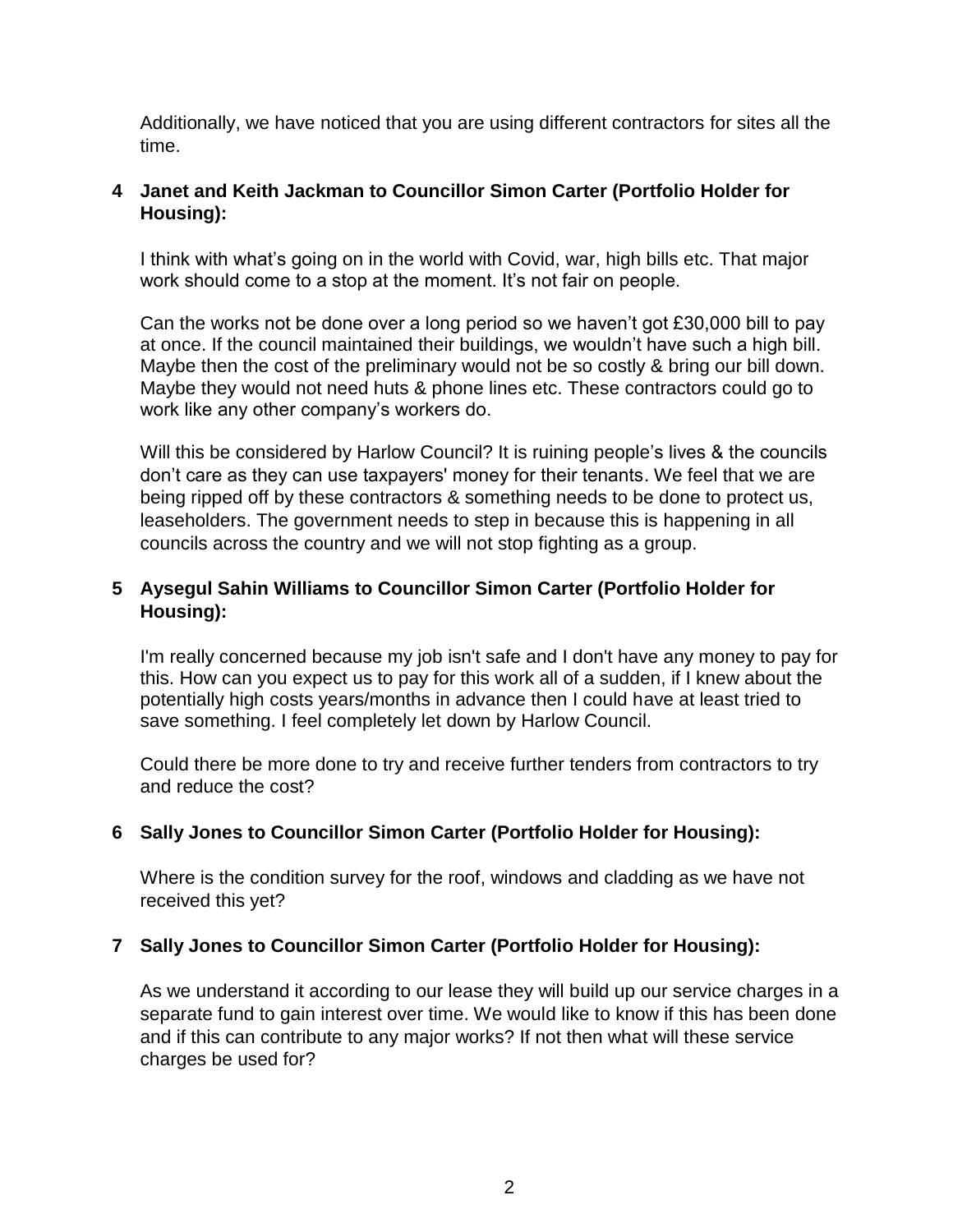Additionally, we have noticed that you are using different contractors for sites all the time.

### **4 Janet and Keith Jackman to Councillor Simon Carter (Portfolio Holder for Housing):**

I think with what's going on in the world with Covid, war, high bills etc. That major work should come to a stop at the moment. It's not fair on people.

Can the works not be done over a long period so we haven't got £30,000 bill to pay at once. If the council maintained their buildings, we wouldn't have such a high bill. Maybe then the cost of the preliminary would not be so costly & bring our bill down. Maybe they would not need huts & phone lines etc. These contractors could go to work like any other company's workers do.

Will this be considered by Harlow Council? It is ruining people's lives & the councils don't care as they can use taxpayers' money for their tenants. We feel that we are being ripped off by these contractors & something needs to be done to protect us, leaseholders. The government needs to step in because this is happening in all councils across the country and we will not stop fighting as a group.

## **5 Aysegul Sahin Williams to Councillor Simon Carter (Portfolio Holder for Housing):**

I'm really concerned because my job isn't safe and I don't have any money to pay for this. How can you expect us to pay for this work all of a sudden, if I knew about the potentially high costs years/months in advance then I could have at least tried to save something. I feel completely let down by Harlow Council.

Could there be more done to try and receive further tenders from contractors to try and reduce the cost?

## **6 Sally Jones to Councillor Simon Carter (Portfolio Holder for Housing):**

Where is the condition survey for the roof, windows and cladding as we have not received this yet?

## **7 Sally Jones to Councillor Simon Carter (Portfolio Holder for Housing):**

As we understand it according to our lease they will build up our service charges in a separate fund to gain interest over time. We would like to know if this has been done and if this can contribute to any major works? If not then what will these service charges be used for?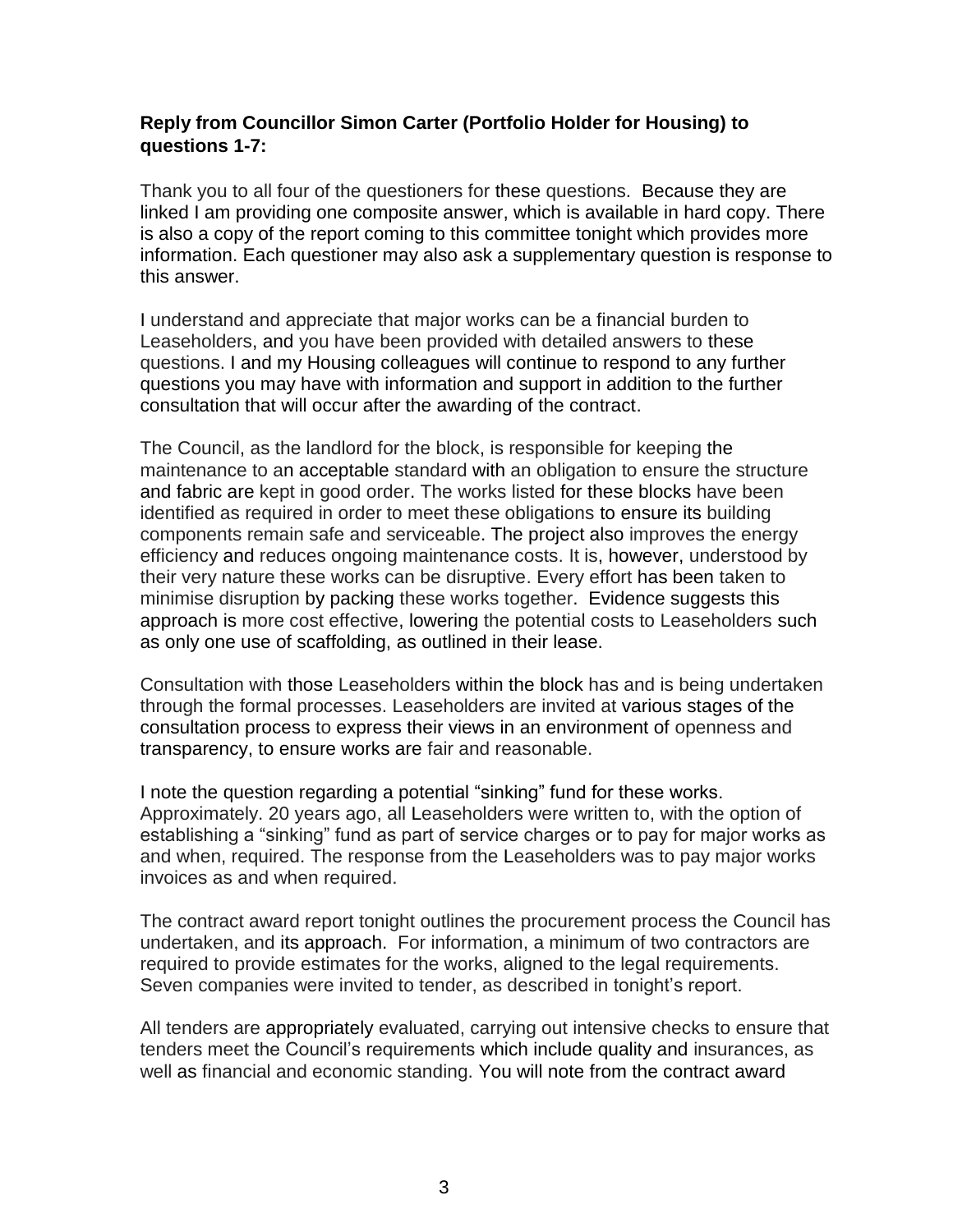### **Reply from Councillor Simon Carter (Portfolio Holder for Housing) to questions 1-7:**

Thank you to all four of the questioners for these questions. Because they are linked I am providing one composite answer, which is available in hard copy. There is also a copy of the report coming to this committee tonight which provides more information. Each questioner may also ask a supplementary question is response to this answer.

I understand and appreciate that major works can be a financial burden to Leaseholders, and you have been provided with detailed answers to these questions. I and my Housing colleagues will continue to respond to any further questions you may have with information and support in addition to the further consultation that will occur after the awarding of the contract.

The Council, as the landlord for the block, is responsible for keeping the maintenance to an acceptable standard with an obligation to ensure the structure and fabric are kept in good order. The works listed for these blocks have been identified as required in order to meet these obligations to ensure its building components remain safe and serviceable. The project also improves the energy efficiency and reduces ongoing maintenance costs. It is, however, understood by their very nature these works can be disruptive. Every effort has been taken to minimise disruption by packing these works together. Evidence suggests this approach is more cost effective, lowering the potential costs to Leaseholders such as only one use of scaffolding, as outlined in their lease.

Consultation with those Leaseholders within the block has and is being undertaken through the formal processes. Leaseholders are invited at various stages of the consultation process to express their views in an environment of openness and transparency, to ensure works are fair and reasonable.

I note the question regarding a potential "sinking" fund for these works. Approximately. 20 years ago, all Leaseholders were written to, with the option of establishing a "sinking" fund as part of service charges or to pay for major works as and when, required. The response from the Leaseholders was to pay major works invoices as and when required.

The contract award report tonight outlines the procurement process the Council has undertaken, and its approach. For information, a minimum of two contractors are required to provide estimates for the works, aligned to the legal requirements. Seven companies were invited to tender, as described in tonight's report.

All tenders are appropriately evaluated, carrying out intensive checks to ensure that tenders meet the Council's requirements which include quality and insurances, as well as financial and economic standing. You will note from the contract award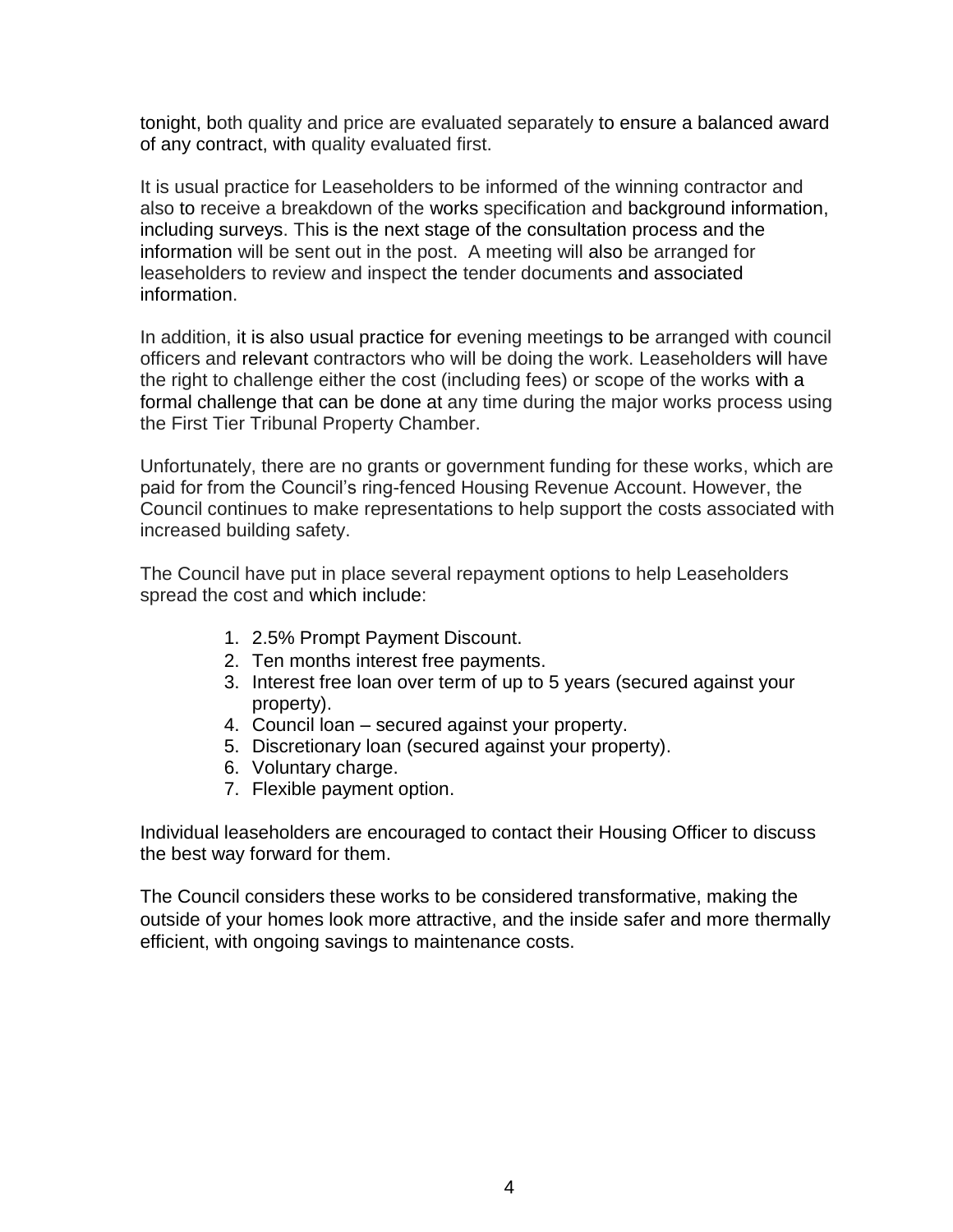tonight, both quality and price are evaluated separately to ensure a balanced award of any contract, with quality evaluated first.

It is usual practice for Leaseholders to be informed of the winning contractor and also to receive a breakdown of the works specification and background information, including surveys. This is the next stage of the consultation process and the information will be sent out in the post. A meeting will also be arranged for leaseholders to review and inspect the tender documents and associated information.

In addition, it is also usual practice for evening meetings to be arranged with council officers and relevant contractors who will be doing the work. Leaseholders will have the right to challenge either the cost (including fees) or scope of the works with a formal challenge that can be done at any time during the major works process using the First Tier Tribunal Property Chamber.

Unfortunately, there are no grants or government funding for these works, which are paid for from the Council's ring-fenced Housing Revenue Account. However, the Council continues to make representations to help support the costs associated with increased building safety.

The Council have put in place several repayment options to help Leaseholders spread the cost and which include:

- 1. 2.5% Prompt Payment Discount.
- 2. Ten months interest free payments.
- 3. Interest free loan over term of up to 5 years (secured against your property).
- 4. Council loan secured against your property.
- 5. Discretionary loan (secured against your property).
- 6. Voluntary charge.
- 7. Flexible payment option.

Individual leaseholders are encouraged to contact their Housing Officer to discuss the best way forward for them.

The Council considers these works to be considered transformative, making the outside of your homes look more attractive, and the inside safer and more thermally efficient, with ongoing savings to maintenance costs.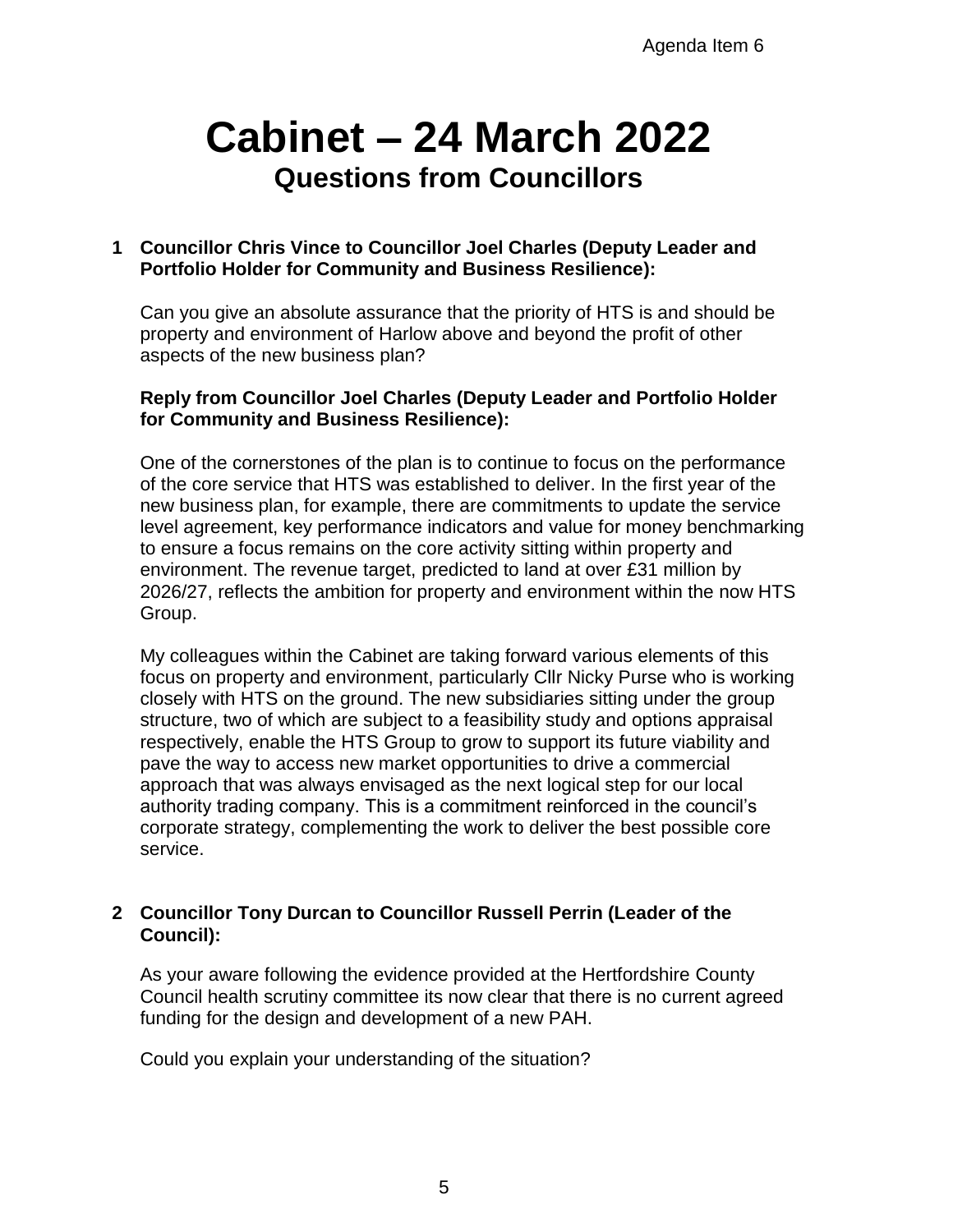# **Cabinet – 24 March 2022 Questions from Councillors**

### **1 Councillor Chris Vince to Councillor Joel Charles (Deputy Leader and Portfolio Holder for Community and Business Resilience):**

Can you give an absolute assurance that the priority of HTS is and should be property and environment of Harlow above and beyond the profit of other aspects of the new business plan?

### **Reply from Councillor Joel Charles (Deputy Leader and Portfolio Holder for Community and Business Resilience):**

One of the cornerstones of the plan is to continue to focus on the performance of the core service that HTS was established to deliver. In the first year of the new business plan, for example, there are commitments to update the service level agreement, key performance indicators and value for money benchmarking to ensure a focus remains on the core activity sitting within property and environment. The revenue target, predicted to land at over £31 million by 2026/27, reflects the ambition for property and environment within the now HTS Group.

My colleagues within the Cabinet are taking forward various elements of this focus on property and environment, particularly Cllr Nicky Purse who is working closely with HTS on the ground. The new subsidiaries sitting under the group structure, two of which are subject to a feasibility study and options appraisal respectively, enable the HTS Group to grow to support its future viability and pave the way to access new market opportunities to drive a commercial approach that was always envisaged as the next logical step for our local authority trading company. This is a commitment reinforced in the council's corporate strategy, complementing the work to deliver the best possible core service.

### **2 Councillor Tony Durcan to Councillor Russell Perrin (Leader of the Council):**

As your aware following the evidence provided at the Hertfordshire County Council health scrutiny committee its now clear that there is no current agreed funding for the design and development of a new PAH.

Could you explain your understanding of the situation?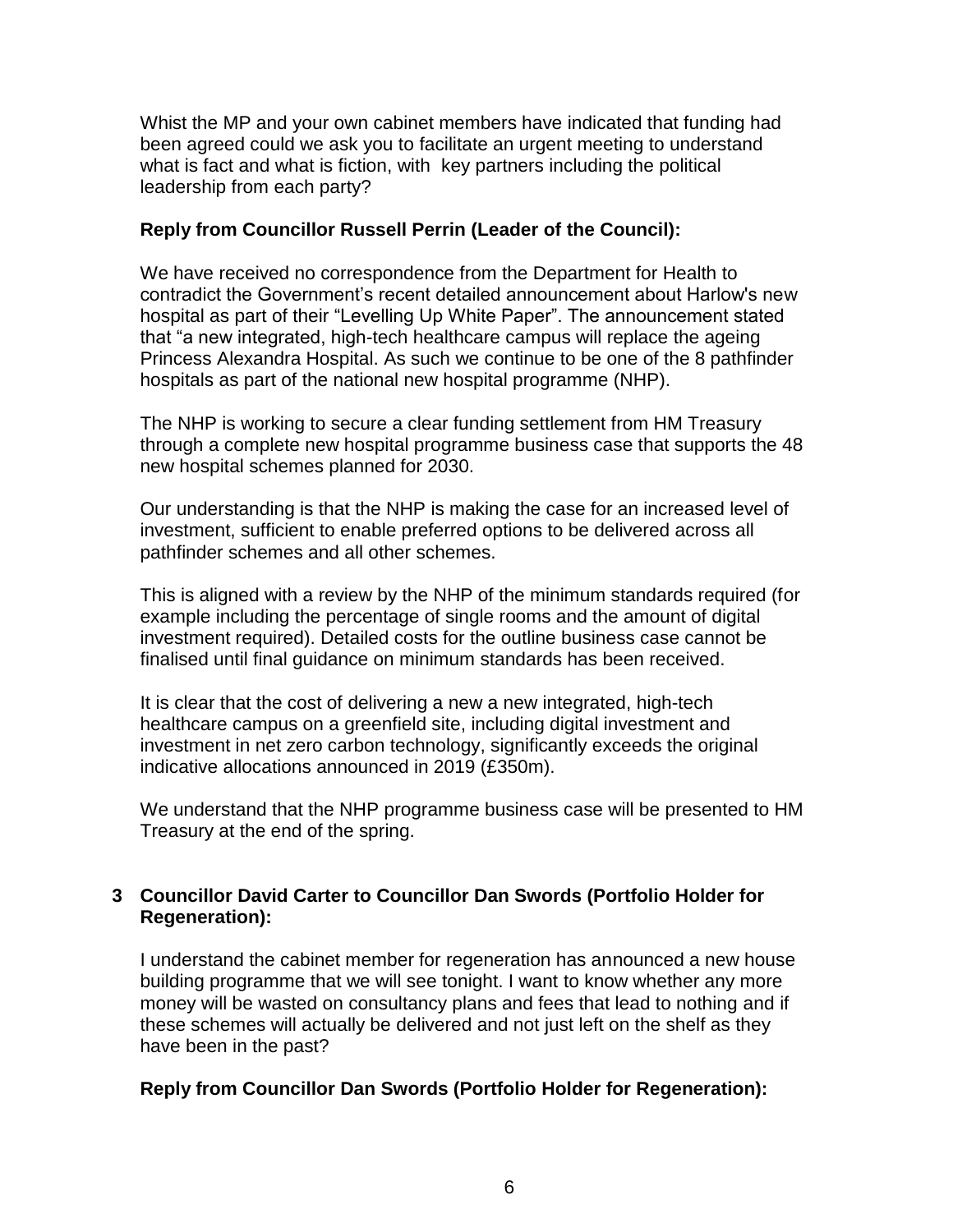Whist the MP and your own cabinet members have indicated that funding had been agreed could we ask you to facilitate an urgent meeting to understand what is fact and what is fiction, with key partners including the political leadership from each party?

### **Reply from Councillor Russell Perrin (Leader of the Council):**

We have received no correspondence from the Department for Health to contradict the Government's recent detailed announcement about Harlow's new hospital as part of their "Levelling Up White Paper". The announcement stated that "a new integrated, high-tech healthcare campus will replace the ageing Princess Alexandra Hospital. As such we continue to be one of the 8 pathfinder hospitals as part of the national new hospital programme (NHP).

The NHP is working to secure a clear funding settlement from HM Treasury through a complete new hospital programme business case that supports the 48 new hospital schemes planned for 2030.

Our understanding is that the NHP is making the case for an increased level of investment, sufficient to enable preferred options to be delivered across all pathfinder schemes and all other schemes.

This is aligned with a review by the NHP of the minimum standards required (for example including the percentage of single rooms and the amount of digital investment required). Detailed costs for the outline business case cannot be finalised until final guidance on minimum standards has been received.

It is clear that the cost of delivering a new a new integrated, high-tech healthcare campus on a greenfield site, including digital investment and investment in net zero carbon technology, significantly exceeds the original indicative allocations announced in 2019 (£350m).

We understand that the NHP programme business case will be presented to HM Treasury at the end of the spring.

## **3 Councillor David Carter to Councillor Dan Swords (Portfolio Holder for Regeneration):**

I understand the cabinet member for regeneration has announced a new house building programme that we will see tonight. I want to know whether any more money will be wasted on consultancy plans and fees that lead to nothing and if these schemes will actually be delivered and not just left on the shelf as they have been in the past?

### **Reply from Councillor Dan Swords (Portfolio Holder for Regeneration):**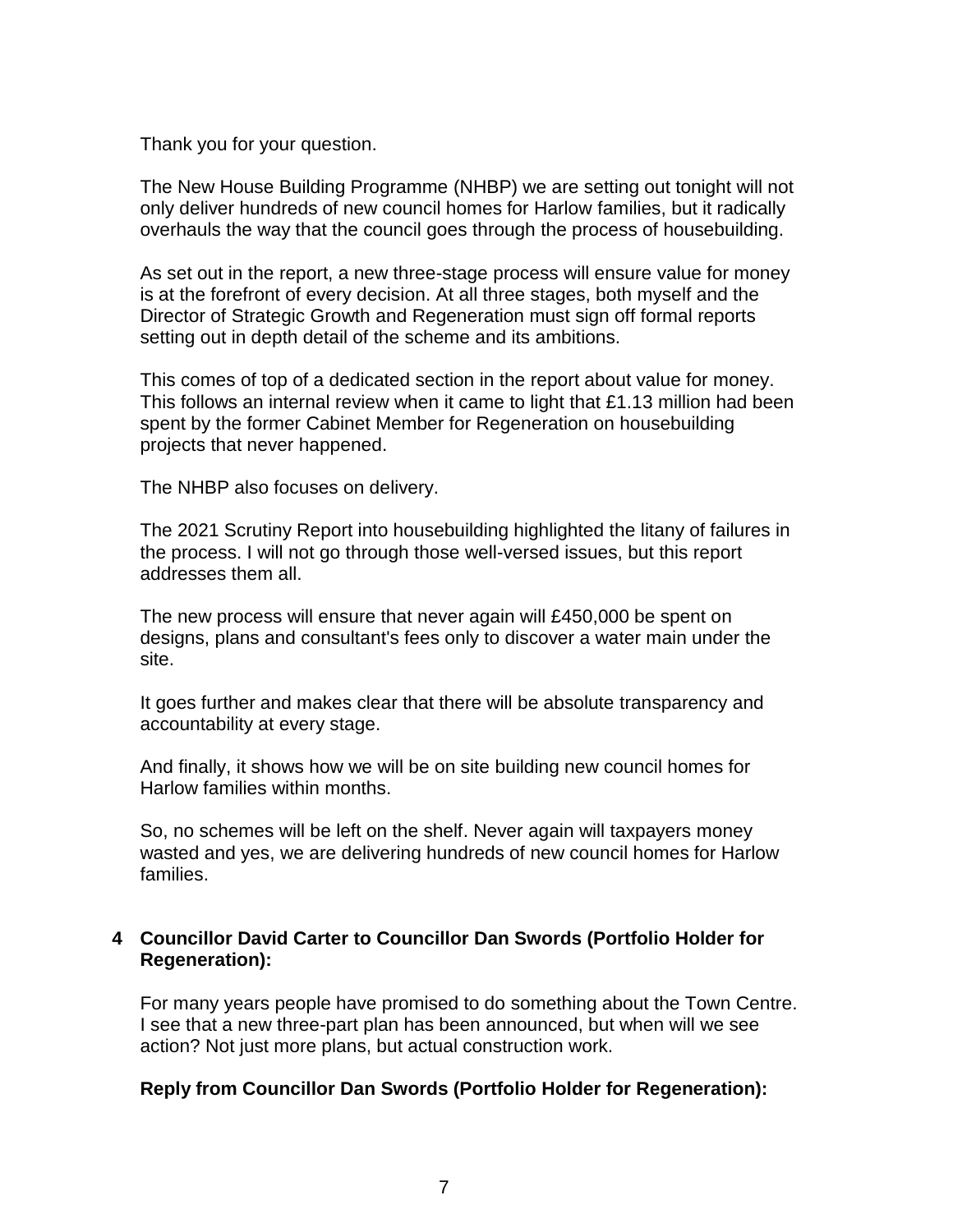Thank you for your question.

The New House Building Programme (NHBP) we are setting out tonight will not only deliver hundreds of new council homes for Harlow families, but it radically overhauls the way that the council goes through the process of housebuilding.

As set out in the report, a new three-stage process will ensure value for money is at the forefront of every decision. At all three stages, both myself and the Director of Strategic Growth and Regeneration must sign off formal reports setting out in depth detail of the scheme and its ambitions.

This comes of top of a dedicated section in the report about value for money. This follows an internal review when it came to light that £1.13 million had been spent by the former Cabinet Member for Regeneration on housebuilding projects that never happened.

The NHBP also focuses on delivery.

The 2021 Scrutiny Report into housebuilding highlighted the litany of failures in the process. I will not go through those well-versed issues, but this report addresses them all.

The new process will ensure that never again will £450,000 be spent on designs, plans and consultant's fees only to discover a water main under the site.

It goes further and makes clear that there will be absolute transparency and accountability at every stage.

And finally, it shows how we will be on site building new council homes for Harlow families within months.

So, no schemes will be left on the shelf. Never again will taxpayers money wasted and yes, we are delivering hundreds of new council homes for Harlow families.

#### **4 Councillor David Carter to Councillor Dan Swords (Portfolio Holder for Regeneration):**

For many years people have promised to do something about the Town Centre. I see that a new three-part plan has been announced, but when will we see action? Not just more plans, but actual construction work.

#### **Reply from Councillor Dan Swords (Portfolio Holder for Regeneration):**